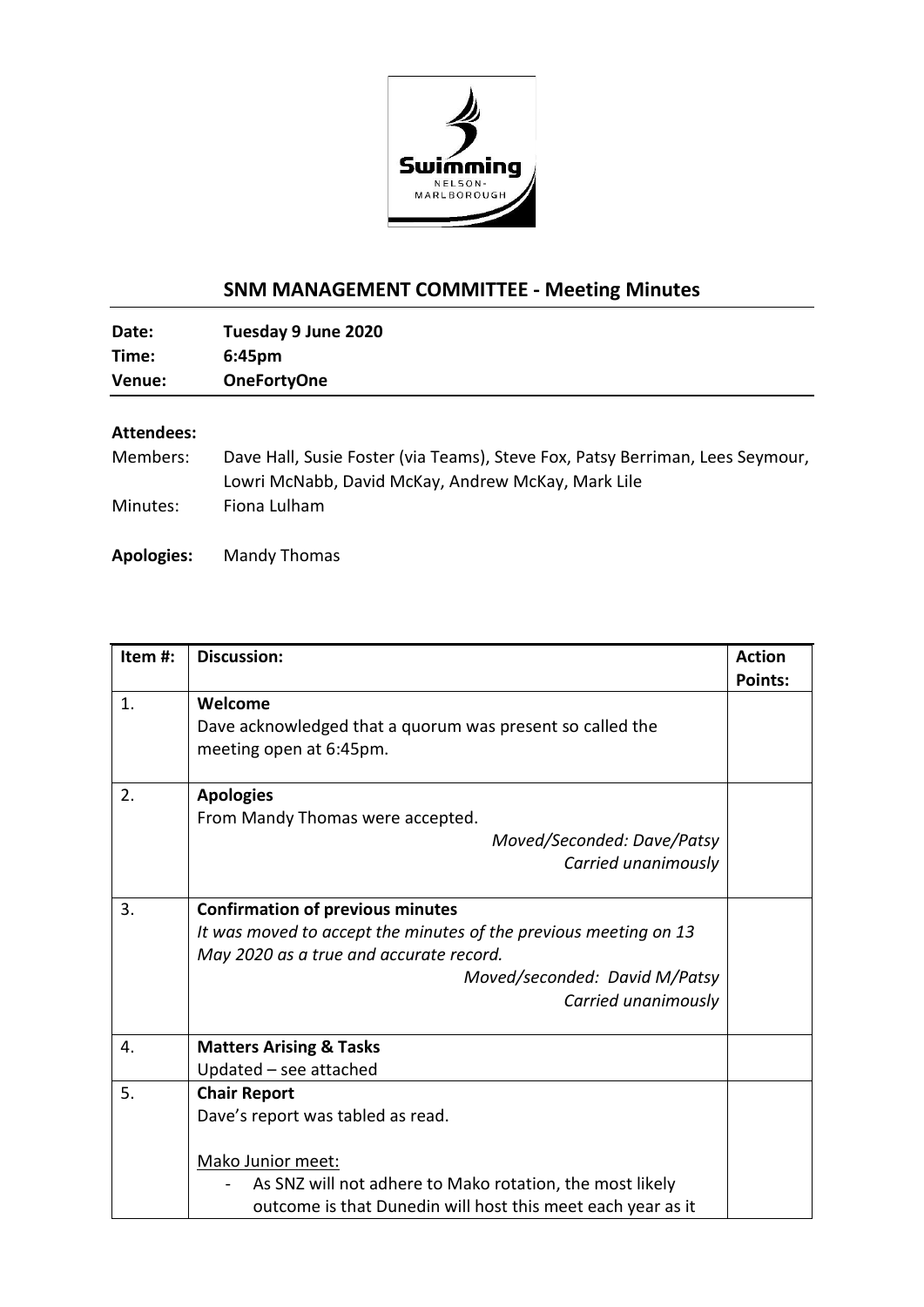

## **SNM MANAGEMENT COMMITTEE - Meeting Minutes**

| Date:  | Tuesday 9 June 2020 |  |
|--------|---------------------|--|
| Time:  | $6:45$ pm           |  |
| Venue: | <b>OneFortyOne</b>  |  |
|        |                     |  |

## **Attendees:**

| Members: | Dave Hall, Susie Foster (via Teams), Steve Fox, Patsy Berriman, Lees Seymour, |
|----------|-------------------------------------------------------------------------------|
|          | Lowri McNabb, David McKay, Andrew McKay, Mark Lile                            |
| Minutes: | Fiona Lulham                                                                  |

**Apologies:** Mandy Thomas

| Item#: | <b>Discussion:</b>                                               | <b>Action</b>  |
|--------|------------------------------------------------------------------|----------------|
|        |                                                                  | <b>Points:</b> |
| 1.     | Welcome                                                          |                |
|        | Dave acknowledged that a quorum was present so called the        |                |
|        | meeting open at 6:45pm.                                          |                |
|        |                                                                  |                |
| 2.     | <b>Apologies</b>                                                 |                |
|        | From Mandy Thomas were accepted.                                 |                |
|        | Moved/Seconded: Dave/Patsy                                       |                |
|        | Carried unanimously                                              |                |
|        |                                                                  |                |
| 3.     | <b>Confirmation of previous minutes</b>                          |                |
|        | It was moved to accept the minutes of the previous meeting on 13 |                |
|        | May 2020 as a true and accurate record.                          |                |
|        | Moved/seconded: David M/Patsy                                    |                |
|        | Carried unanimously                                              |                |
|        |                                                                  |                |
| 4.     | <b>Matters Arising &amp; Tasks</b>                               |                |
|        | Updated - see attached                                           |                |
| 5.     | <b>Chair Report</b>                                              |                |
|        | Dave's report was tabled as read.                                |                |
|        |                                                                  |                |
|        | Mako Junior meet:                                                |                |
|        | As SNZ will not adhere to Mako rotation, the most likely         |                |
|        | outcome is that Dunedin will host this meet each year as it      |                |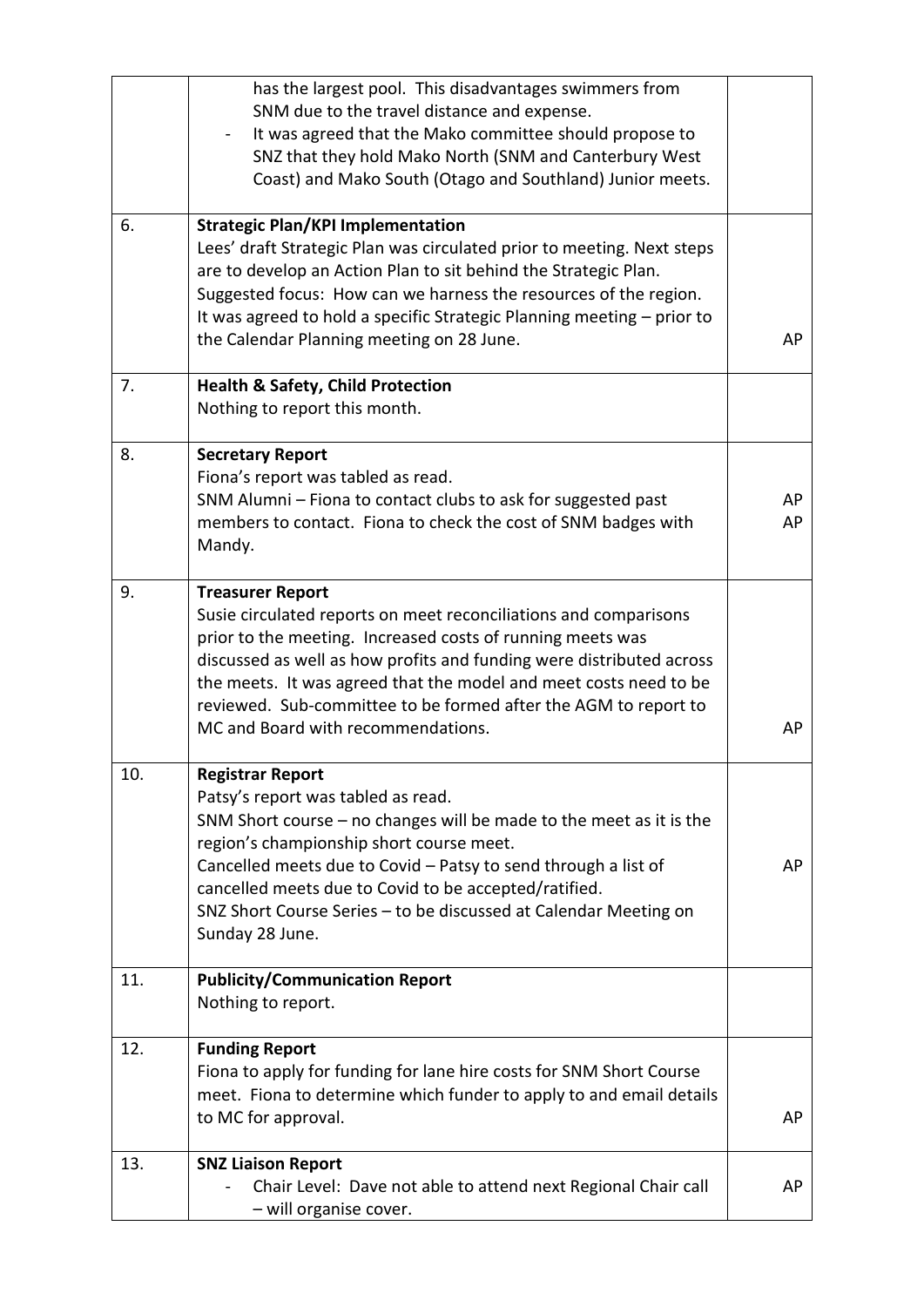|     | has the largest pool. This disadvantages swimmers from<br>SNM due to the travel distance and expense.<br>It was agreed that the Mako committee should propose to<br>SNZ that they hold Mako North (SNM and Canterbury West<br>Coast) and Mako South (Otago and Southland) Junior meets.                                                                                                                         |          |
|-----|-----------------------------------------------------------------------------------------------------------------------------------------------------------------------------------------------------------------------------------------------------------------------------------------------------------------------------------------------------------------------------------------------------------------|----------|
| 6.  | <b>Strategic Plan/KPI Implementation</b><br>Lees' draft Strategic Plan was circulated prior to meeting. Next steps<br>are to develop an Action Plan to sit behind the Strategic Plan.<br>Suggested focus: How can we harness the resources of the region.<br>It was agreed to hold a specific Strategic Planning meeting - prior to<br>the Calendar Planning meeting on 28 June.                                | AP       |
| 7.  | <b>Health &amp; Safety, Child Protection</b><br>Nothing to report this month.                                                                                                                                                                                                                                                                                                                                   |          |
| 8.  | <b>Secretary Report</b><br>Fiona's report was tabled as read.<br>SNM Alumni - Fiona to contact clubs to ask for suggested past<br>members to contact. Fiona to check the cost of SNM badges with<br>Mandy.                                                                                                                                                                                                      | AP<br>AP |
| 9.  | <b>Treasurer Report</b><br>Susie circulated reports on meet reconciliations and comparisons<br>prior to the meeting. Increased costs of running meets was<br>discussed as well as how profits and funding were distributed across<br>the meets. It was agreed that the model and meet costs need to be<br>reviewed. Sub-committee to be formed after the AGM to report to<br>MC and Board with recommendations. | AP       |
| 10. | <b>Registrar Report</b><br>Patsy's report was tabled as read.<br>SNM Short course - no changes will be made to the meet as it is the<br>region's championship short course meet.<br>Cancelled meets due to Covid - Patsy to send through a list of<br>cancelled meets due to Covid to be accepted/ratified.<br>SNZ Short Course Series - to be discussed at Calendar Meeting on<br>Sunday 28 June.              | AP       |
| 11. | <b>Publicity/Communication Report</b><br>Nothing to report.                                                                                                                                                                                                                                                                                                                                                     |          |
| 12. | <b>Funding Report</b><br>Fiona to apply for funding for lane hire costs for SNM Short Course<br>meet. Fiona to determine which funder to apply to and email details<br>to MC for approval.                                                                                                                                                                                                                      | AP       |
| 13. | <b>SNZ Liaison Report</b><br>Chair Level: Dave not able to attend next Regional Chair call<br>- will organise cover.                                                                                                                                                                                                                                                                                            | AP       |